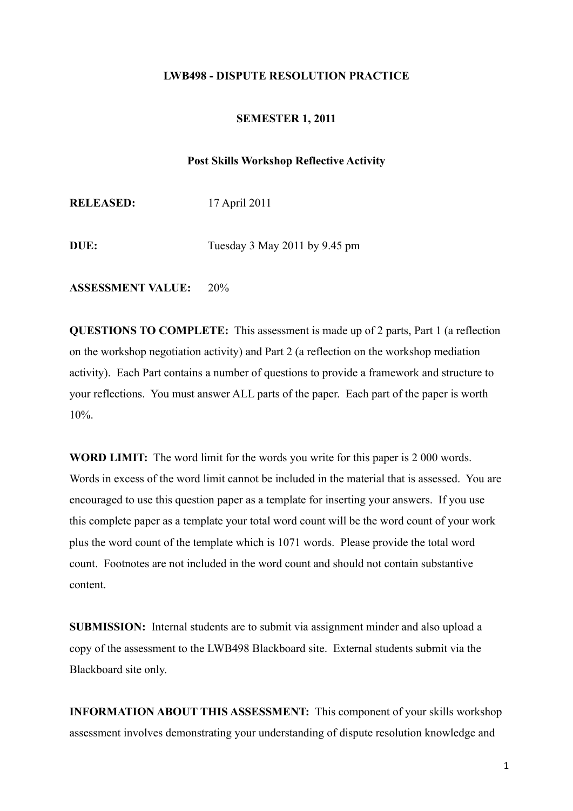## **LWB498 - DISPUTE RESOLUTION PRACTICE**

### **SEMESTER 1, 2011**

#### **Post Skills Workshop Reflective Activity**

**RELEASED:** 17 April 2011

**DUE:** Tuesday 3 May 2011 by 9.45 pm

**ASSESSMENT VALUE:** 20%

**QUESTIONS TO COMPLETE:** This assessment is made up of 2 parts, Part 1 (a reflection on the workshop negotiation activity) and Part 2 (a reflection on the workshop mediation activity). Each Part contains a number of questions to provide a framework and structure to your reflections. You must answer ALL parts of the paper. Each part of the paper is worth 10%.

**WORD LIMIT:** The word limit for the words you write for this paper is 2 000 words. Words in excess of the word limit cannot be included in the material that is assessed. You are encouraged to use this question paper as a template for inserting your answers. If you use this complete paper as a template your total word count will be the word count of your work plus the word count of the template which is 1071 words. Please provide the total word count. Footnotes are not included in the word count and should not contain substantive content.

**SUBMISSION:** Internal students are to submit via assignment minder and also upload a copy of the assessment to the LWB498 Blackboard site. External students submit via the Blackboard site only.

**INFORMATION ABOUT THIS ASSESSMENT:** This component of your skills workshop assessment involves demonstrating your understanding of dispute resolution knowledge and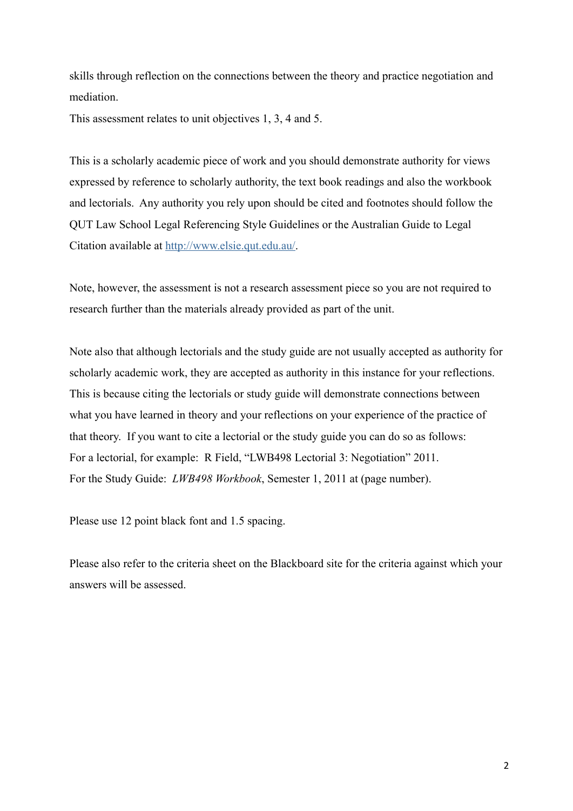skills through reflection on the connections between the theory and practice negotiation and mediation.

This assessment relates to unit objectives 1, 3, 4 and 5.

This is a scholarly academic piece of work and you should demonstrate authority for views expressed by reference to scholarly authority, the text book readings and also the workbook and lectorials. Any authority you rely upon should be cited and footnotes should follow the QUT Law School Legal Referencing Style Guidelines or the Australian Guide to Legal Citation available at [http://www.elsie.qut.edu.au/.](http://www.elsie.qut.edu.au/)

Note, however, the assessment is not a research assessment piece so you are not required to research further than the materials already provided as part of the unit.

Note also that although lectorials and the study guide are not usually accepted as authority for scholarly academic work, they are accepted as authority in this instance for your reflections. This is because citing the lectorials or study guide will demonstrate connections between what you have learned in theory and your reflections on your experience of the practice of that theory. If you want to cite a lectorial or the study guide you can do so as follows: For a lectorial, for example: R Field, "LWB498 Lectorial 3: Negotiation" 2011. For the Study Guide: *LWB498 Workbook*, Semester 1, 2011 at (page number).

Please use 12 point black font and 1.5 spacing.

Please also refer to the criteria sheet on the Blackboard site for the criteria against which your answers will be assessed.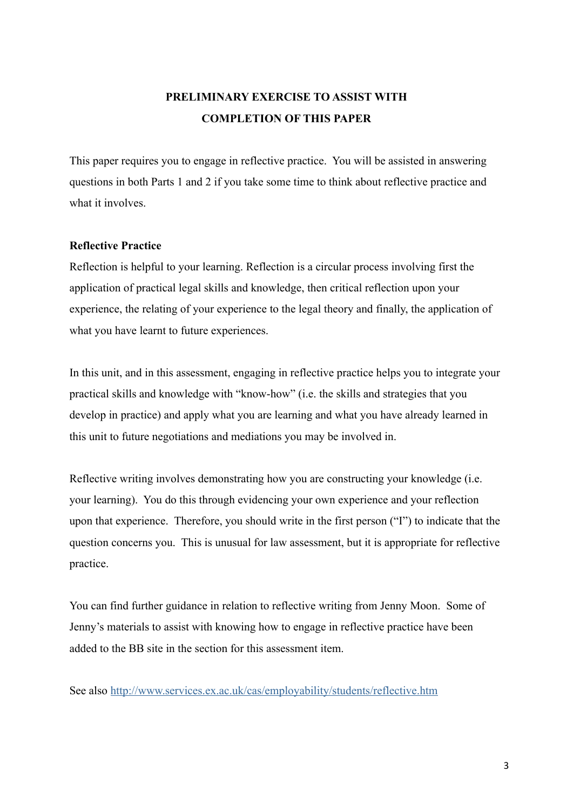# **PRELIMINARY EXERCISE TO ASSIST WITH COMPLETION OF THIS PAPER**

This paper requires you to engage in reflective practice. You will be assisted in answering questions in both Parts 1 and 2 if you take some time to think about reflective practice and what it involves.

## **Reflective Practice**

Reflection is helpful to your learning. Reflection is a circular process involving first the application of practical legal skills and knowledge, then critical reflection upon your experience, the relating of your experience to the legal theory and finally, the application of what you have learnt to future experiences.

In this unit, and in this assessment, engaging in reflective practice helps you to integrate your practical skills and knowledge with "know-how" (i.e. the skills and strategies that you develop in practice) and apply what you are learning and what you have already learned in this unit to future negotiations and mediations you may be involved in.

Reflective writing involves demonstrating how you are constructing your knowledge (i.e. your learning). You do this through evidencing your own experience and your reflection upon that experience. Therefore, you should write in the first person ("I") to indicate that the question concerns you. This is unusual for law assessment, but it is appropriate for reflective practice.

You can find further guidance in relation to reflective writing from Jenny Moon. Some of Jenny's materials to assist with knowing how to engage in reflective practice have been added to the BB site in the section for this assessment item.

See also <http://www.services.ex.ac.uk/cas/employability/students/reflective.htm>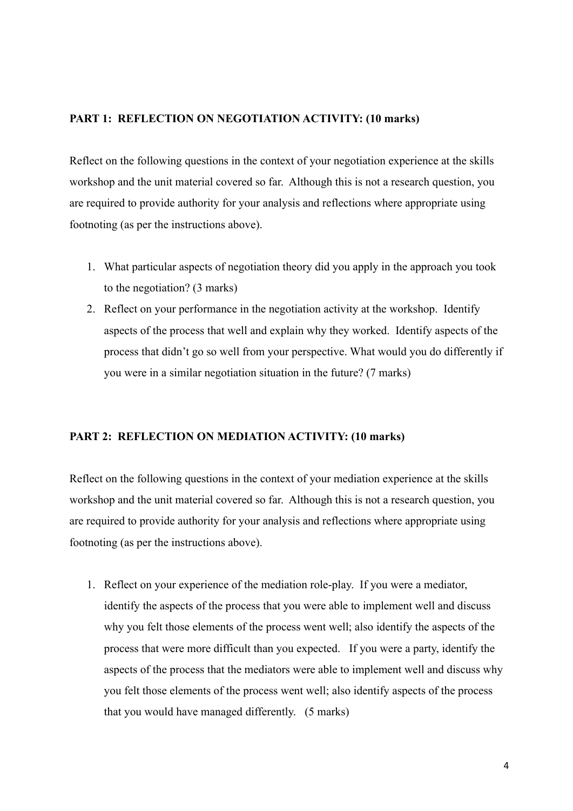## **PART 1: REFLECTION ON NEGOTIATION ACTIVITY: (10 marks)**

Reflect on the following questions in the context of your negotiation experience at the skills workshop and the unit material covered so far. Although this is not a research question, you are required to provide authority for your analysis and reflections where appropriate using footnoting (as per the instructions above).

- 1. What particular aspects of negotiation theory did you apply in the approach you took to the negotiation? (3 marks)
- 2. Reflect on your performance in the negotiation activity at the workshop. Identify aspects of the process that well and explain why they worked. Identify aspects of the process that didn't go so well from your perspective. What would you do differently if you were in a similar negotiation situation in the future? (7 marks)

## **PART 2: REFLECTION ON MEDIATION ACTIVITY: (10 marks)**

Reflect on the following questions in the context of your mediation experience at the skills workshop and the unit material covered so far. Although this is not a research question, you are required to provide authority for your analysis and reflections where appropriate using footnoting (as per the instructions above).

1. Reflect on your experience of the mediation role-play. If you were a mediator, identify the aspects of the process that you were able to implement well and discuss why you felt those elements of the process went well; also identify the aspects of the process that were more difficult than you expected. If you were a party, identify the aspects of the process that the mediators were able to implement well and discuss why you felt those elements of the process went well; also identify aspects of the process that you would have managed differently. (5 marks)